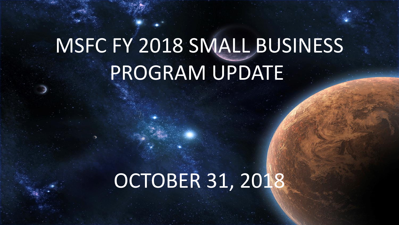# MSFC FY 2018 SMALL BUSINESS PROGRAM UPDATE

## OCTOBER 31, 2018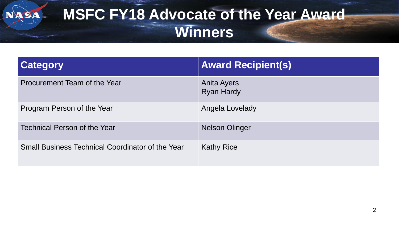#### **MSFC FY18 Advocate of the Year Award Winners**

| <b>Category</b>                                         | <b>Award Recipient(s)</b>               |
|---------------------------------------------------------|-----------------------------------------|
| Procurement Team of the Year                            | <b>Anita Ayers</b><br><b>Ryan Hardy</b> |
| Program Person of the Year                              | Angela Lovelady                         |
| Technical Person of the Year                            | <b>Nelson Olinger</b>                   |
| <b>Small Business Technical Coordinator of the Year</b> | <b>Kathy Rice</b>                       |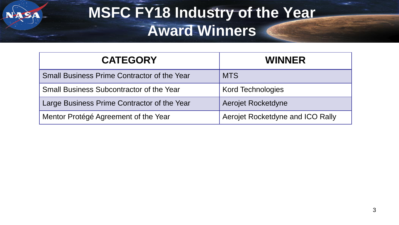#### **MSFC FY18 Industry of the Year Award Winners**

| <b>CATEGORY</b>                                    | <b>WINNER</b>                    |
|----------------------------------------------------|----------------------------------|
| <b>Small Business Prime Contractor of the Year</b> | <b>MTS</b>                       |
| <b>Small Business Subcontractor of the Year</b>    | <b>Kord Technologies</b>         |
| Large Business Prime Contractor of the Year        | Aerojet Rocketdyne               |
| Mentor Protégé Agreement of the Year               | Aerojet Rocketdyne and ICO Rally |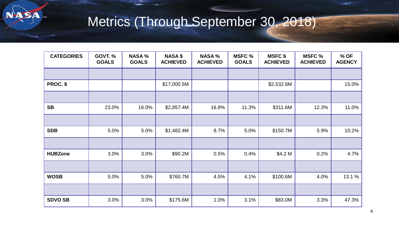

#### Metrics (Through September 30, 2018)

| <b>CATEGORIES</b> | <b>GOVT. %</b><br><b>GOALS</b> | <b>NASA %</b><br><b>GOALS</b> | <b>NASA \$</b><br><b>ACHIEVED</b> | <b>NASA %</b><br><b>ACHIEVED</b> | <b>MSFC %</b><br><b>GOALS</b> | <b>MSFC \$</b><br><b>ACHIEVED</b> | <b>MSFC %</b><br><b>ACHIEVED</b> | % OF<br><b>AGENCY</b> |
|-------------------|--------------------------------|-------------------------------|-----------------------------------|----------------------------------|-------------------------------|-----------------------------------|----------------------------------|-----------------------|
|                   |                                |                               |                                   |                                  |                               |                                   |                                  |                       |
| PROC. \$          |                                |                               | \$17,000.5M                       |                                  |                               | \$2,532.6M                        |                                  | 15.0%                 |
|                   |                                |                               |                                   |                                  |                               |                                   |                                  |                       |
| <b>SB</b>         | 23.0%                          | 16.0%                         | \$2,857.4M                        | 16.8%                            | 11.3%                         | \$311.6M                          | 12.3%                            | 11.0%                 |
|                   |                                |                               |                                   |                                  |                               |                                   |                                  |                       |
| <b>SDB</b>        | 5.0%                           | 5.0%                          | \$1,482.4M                        | 8.7%                             | 5.0%                          | \$150.7M                          | 5.9%                             | 10.2%                 |
|                   |                                |                               |                                   |                                  |                               |                                   |                                  |                       |
| <b>HUBZone</b>    | 3.0%                           | 3.0%                          | \$90.2M                           | 0.5%                             | 0.4%                          | \$4.2 M                           | 0.2%                             | 4.7%                  |
|                   |                                |                               |                                   |                                  |                               |                                   |                                  |                       |
| <b>WOSB</b>       | 5.0%                           | 5.0%                          | \$760.7M                          | 4.5%                             | 4.1%                          | \$100.6M                          | 4.0%                             | 13.1 %                |
|                   |                                |                               |                                   |                                  |                               |                                   |                                  |                       |
| <b>SDVO SB</b>    | 3.0%                           | 3.0%                          | \$175.6M                          | 1.0%                             | 3.1%                          | \$83.0M                           | 3.3%                             | 47.3%                 |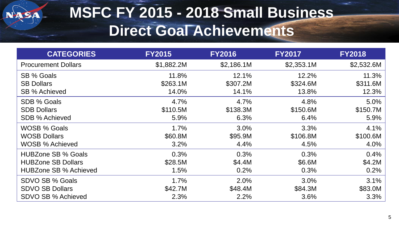

#### **MSFC FY 2015 - 2018 Small Business Direct Goal Achievements**

| <b>CATEGORIES</b>            | <b>FY2015</b> | <b>FY2016</b> | <b>FY2017</b> | <b>FY2018</b> |
|------------------------------|---------------|---------------|---------------|---------------|
| <b>Procurement Dollars</b>   | \$1,882.2M    | \$2,186.1M    | \$2,353.1M    | \$2,532.6M    |
| SB % Goals                   | 11.8%         | 12.1%         | 12.2%         | 11.3%         |
| <b>SB Dollars</b>            | \$263.1M      | \$307.2M      | \$324.6M      | \$311.6M      |
| SB % Achieved                | 14.0%         | 14.1%         | 13.8%         | 12.3%         |
| SDB % Goals                  | 4.7%          | 4.7%          | 4.8%          | 5.0%          |
| <b>SDB Dollars</b>           | \$110.5M      | \$138.3M      | \$150.6M      | \$150.7M      |
| SDB % Achieved               | 5.9%          | 6.3%          | 6.4%          | 5.9%          |
| <b>WOSB % Goals</b>          | 1.7%          | 3.0%          | 3.3%          | 4.1%          |
| <b>WOSB Dollars</b>          | \$60.8M       | \$95.9M       | \$106.8M      | \$100.6M      |
| WOSB % Achieved              | 3.2%          | 4.4%          | 4.5%          | 4.0%          |
| <b>HUBZone SB % Goals</b>    | 0.3%          | 0.3%          | 0.3%          | 0.4%          |
| <b>HUBZone SB Dollars</b>    | \$28.5M       | \$4.4M        | \$6.6M        | \$4.2M        |
| <b>HUBZone SB % Achieved</b> | 1.5%          | 0.2%          | 0.3%          | 0.2%          |
| SDVO SB % Goals              | 1.7%          | 2.0%          | 3.0%          | 3.1%          |
| <b>SDVO SB Dollars</b>       | \$42.7M       | \$48.4M       | \$84.3M       | \$83.0M       |
| <b>SDVO SB % Achieved</b>    | 2.3%          | 2.2%          | 3.6%          | 3.3%          |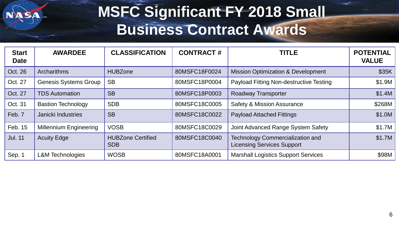

#### **MSFC Significant FY 2018 Small Business Contract Awards**

| <b>Start</b><br><b>Date</b> | <b>AWARDEE</b>                | <b>CLASSIFICATION</b>                  | <b>CONTRACT#</b> | <b>TITLE</b>                                                                 | <b>POTENTIAL</b><br><b>VALUE</b> |
|-----------------------------|-------------------------------|----------------------------------------|------------------|------------------------------------------------------------------------------|----------------------------------|
| Oct. 26                     | <b>Archarithms</b>            | <b>HUBZone</b>                         | 80MSFC18F0024    | <b>Mission Optimization &amp; Development</b>                                | \$35K                            |
| Oct. 27                     | <b>Genesis Systems Group</b>  | <b>SB</b>                              | 80MSFC18P0004    | Payload Fitting Non-destructive Testing                                      | \$1.9M                           |
| Oct. 27                     | <b>TDS Automation</b>         | <b>SB</b>                              | 80MSFC18P0003    | <b>Roadway Transporter</b>                                                   | \$1.4M                           |
| Oct. 31                     | <b>Bastion Technology</b>     | <b>SDB</b>                             | 80MSFC18C0005    | <b>Safety &amp; Mission Assurance</b>                                        | \$268M                           |
| Feb. 7                      | Janicki Industries            | <b>SB</b>                              | 80MSFC18C0022    | <b>Payload Attached Fittings</b>                                             | \$1.0M                           |
| Feb. 15                     | <b>Millennium Engineering</b> | <b>VOSB</b>                            | 80MSFC18C0029    | Joint Advanced Range System Safety                                           | \$1.7M                           |
| <b>Jul. 11</b>              | <b>Acuity Edge</b>            | <b>HUBZone Certified</b><br><b>SDB</b> | 80MSFC18C0040    | <b>Technology Commercialization and</b><br><b>Licensing Services Support</b> | \$1.7M                           |
| Sep. 1                      | <b>L&amp;M Technologies</b>   | <b>WOSB</b>                            | 80MSFC18A0001    | <b>Marshall Logistics Support Services</b>                                   | \$98M                            |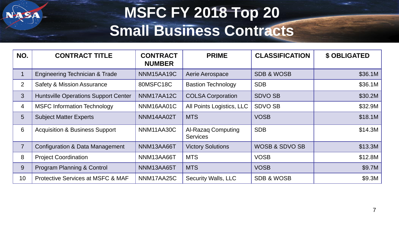#### **MSFC FY 2018 Top 20 Small Business Contracts**

| NO.            | <b>CONTRACT TITLE</b>                        | <b>CONTRACT</b><br><b>NUMBER</b> | <b>PRIME</b>                                 | <b>CLASSIFICATION</b>     | <b>\$ OBLIGATED</b> |
|----------------|----------------------------------------------|----------------------------------|----------------------------------------------|---------------------------|---------------------|
|                | Engineering Technician & Trade               | NNM15AA19C                       | Aerie Aerospace                              | <b>SDB &amp; WOSB</b>     | \$36.1M             |
| $\overline{2}$ | <b>Safety &amp; Mission Assurance</b>        | 80MSFC18C                        | <b>Bastion Technology</b>                    | <b>SDB</b>                | \$36.1M             |
| 3              | <b>Huntsville Operations Support Center</b>  | NNM17AA12C                       | <b>COLSA Corporation</b>                     | <b>SDVO SB</b>            | \$30.2M             |
| 4              | <b>MSFC Information Technology</b>           | NNM16AA01C                       | All Points Logistics, LLC                    | <b>SDVO SB</b>            | \$32.9M             |
| 5              | <b>Subject Matter Experts</b>                | NNM14AA02T                       | <b>MTS</b>                                   | <b>VOSB</b>               | \$18.1M             |
| 6              | <b>Acquisition &amp; Business Support</b>    | NNM11AA30C                       | <b>Al-Razag Computing</b><br><b>Services</b> | <b>SDB</b>                | \$14.3M             |
| $\overline{7}$ | <b>Configuration &amp; Data Management</b>   | NNM13AA66T                       | <b>Victory Solutions</b>                     | <b>WOSB &amp; SDVO SB</b> | \$13.3M             |
| 8              | <b>Project Coordination</b>                  | NNM13AA66T                       | <b>MTS</b>                                   | <b>VOSB</b>               | \$12.8M             |
| 9              | Program Planning & Control                   | NNM13AA65T                       | <b>MTS</b>                                   | <b>VOSB</b>               | \$9.7M              |
| 10             | <b>Protective Services at MSFC &amp; MAF</b> | NNM17AA25C                       | <b>Security Walls, LLC</b>                   | <b>SDB &amp; WOSB</b>     | \$9.3M              |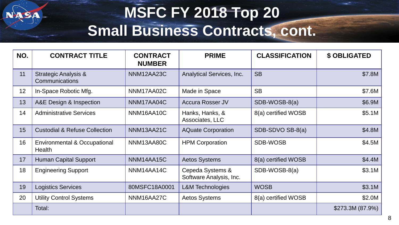#### **MSFC FY 2018 Top 20 Small Business Contracts, cont.**

| NO. | <b>CONTRACT TITLE</b>                             | <b>CONTRACT</b><br><b>NUMBER</b> | <b>PRIME</b>                                | <b>CLASSIFICATION</b> | <b>\$ OBLIGATED</b> |
|-----|---------------------------------------------------|----------------------------------|---------------------------------------------|-----------------------|---------------------|
| 11  | <b>Strategic Analysis &amp;</b><br>Communications | NNM12AA23C                       | <b>Analytical Services, Inc.</b>            | <b>SB</b>             | \$7.8M              |
| 12  | In-Space Robotic Mfg.                             | NNM17AA02C                       | Made in Space                               | <b>SB</b>             | \$7.6M              |
| 13  | A&E Design & Inspection                           | NNM17AA04C                       | <b>Accura Rosser JV</b>                     | SDB-WOSB-8(a)         | \$6.9M              |
| 14  | <b>Administrative Services</b>                    | NNM16AA10C                       | Hanks, Hanks, &<br>Associates, LLC          | 8(a) certified WOSB   | \$5.1M              |
| 15  | <b>Custodial &amp; Refuse Collection</b>          | NNM13AA21C                       | <b>AQuate Corporation</b>                   | SDB-SDVO SB-8(a)      | \$4.8M              |
| 16  | <b>Environmental &amp; Occupational</b><br>Health | NNM13AA80C                       | <b>HPM Corporation</b>                      | <b>SDB-WOSB</b>       | \$4.5M              |
| 17  | <b>Human Capital Support</b>                      | NNM14AA15C                       | <b>Aetos Systems</b>                        | 8(a) certified WOSB   | \$4.4M              |
| 18  | <b>Engineering Support</b>                        | NNM14AA14C                       | Cepeda Systems &<br>Software Analysis, Inc. | SDB-WOSB-8(a)         | \$3.1M              |
| 19  | <b>Logistics Services</b>                         | 80MSFC18A0001                    | <b>L&amp;M Technologies</b>                 | <b>WOSB</b>           | \$3.1M              |
| 20  | <b>Utility Control Systems</b>                    | NNM16AA27C                       | <b>Aetos Systems</b>                        | 8(a) certified WOSB   | \$2.0M              |
|     | Total:                                            |                                  |                                             |                       | \$273.3M (87.9%)    |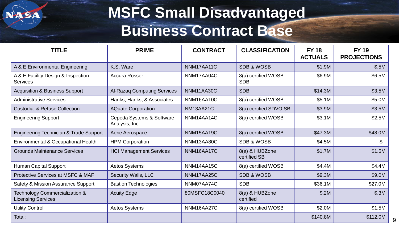

#### **MSFC Small Disadvantaged Business Contract Base**

| <b>TITLE</b>                                                | <b>PRIME</b>                                | <b>CONTRACT</b> | <b>CLASSIFICATION</b>             | <b>FY 18</b><br><b>ACTUALS</b> | <b>FY 19</b><br><b>PROJECTIONS</b> |
|-------------------------------------------------------------|---------------------------------------------|-----------------|-----------------------------------|--------------------------------|------------------------------------|
| A & E Environmental Engineering                             | K.S. Ware                                   | NNM17AA11C      | <b>SDB &amp; WOSB</b>             | \$1.9M                         | \$.5M                              |
| A & E Facility Design & Inspection<br><b>Services</b>       | <b>Accura Rosser</b>                        | NNM17AA04C      | 8(a) certified WOSB<br><b>SDB</b> | \$6.9M                         | \$6.5M                             |
| <b>Acquisition &amp; Business Support</b>                   | <b>Al-Razaq Computing Services</b>          | NNM11AA30C      | <b>SDB</b>                        | \$14.3M                        | \$3.5M                             |
| <b>Administrative Services</b>                              | Hanks, Hanks, & Associates                  | NNM16AA10C      | 8(a) certified WOSB               | \$5.1M                         | \$5.0M                             |
| <b>Custodial &amp; Refuse Collection</b>                    | <b>AQuate Corporation</b>                   | NM13AA21C       | 8(a) certified SDVO SB            | \$3.9M                         | \$3.5M                             |
| <b>Engineering Support</b>                                  | Cepeda Systems & Software<br>Analysis, Inc. | NNM14AA14C      | 8(a) certified WOSB               | \$3.1M                         | \$2.5M                             |
| <b>Engineering Technician &amp; Trade Support</b>           | Aerie Aerospace                             | NNM15AA19C      | 8(a) certified WOSB               | \$47.3M                        | \$48.0M                            |
| Environmental & Occupational Health                         | <b>HPM Corporation</b>                      | NNM13AA80C      | <b>SDB &amp; WOSB</b>             | \$4.5M                         | $\mathcal{S}$ -                    |
| <b>Grounds Maintenance Services</b>                         | <b>HCI Management Services</b>              | NNM16AA17C      | 8(a) & HUBZone<br>certified SB    | \$1.7M                         | \$1.5M                             |
| <b>Human Capital Support</b>                                | <b>Aetos Systems</b>                        | NNM14AA15C      | 8(a) certified WOSB               | \$4.4M                         | \$4.4M                             |
| <b>Protective Services at MSFC &amp; MAF</b>                | <b>Security Walls, LLC</b>                  | NNM17AA25C      | <b>SDB &amp; WOSB</b>             | \$9.3M                         | \$9.0M                             |
| <b>Safety &amp; Mission Assurance Support</b>               | <b>Bastion Technologies</b>                 | NNM07AA74C      | <b>SDB</b>                        | \$36.1M                        | \$27.0M                            |
| Technology Commercialization &<br><b>Licensing Services</b> | <b>Acuity Edge</b>                          | 80MSFC18C0040   | 8(a) & HUBZone<br>certified       | \$.2M                          | \$.3M                              |
| <b>Utility Control</b>                                      | <b>Aetos Systems</b>                        | NNM16AA27C      | 8(a) certified WOSB               | \$2.0M                         | \$1.5M                             |
| Total:                                                      |                                             |                 |                                   | \$140.8M                       | \$112.0M<br>9                      |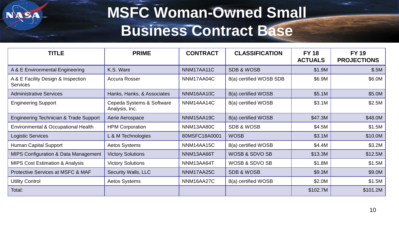#### **MSFC Woman-Owned Small Business Contract Base**

| <b>TITLE</b>                                          | <b>PRIME</b>                                | <b>CONTRACT</b> | <b>CLASSIFICATION</b>   | <b>FY 18</b><br><b>ACTUALS</b> | <b>FY 19</b><br><b>PROJECTIONS</b> |
|-------------------------------------------------------|---------------------------------------------|-----------------|-------------------------|--------------------------------|------------------------------------|
| A & E Environmental Engineering                       | K.S. Ware                                   | NNM17AA11C      | <b>SDB &amp; WOSB</b>   | \$1.9M                         | \$.5M                              |
| A & E Facility Design & Inspection<br><b>Services</b> | Accura Rosser                               | NNM17AA04C      | 8(a) certified WOSB SDB | \$6.9M                         | \$6.0M                             |
| <b>Administrative Services</b>                        | Hanks, Hanks, & Associates                  | NNM16AA10C      | 8(a) certified WOSB     | \$5.1M                         | \$5.0M                             |
| <b>Engineering Support</b>                            | Cepeda Systems & Software<br>Analysis, Inc. | NNM14AA14C      | 8(a) certified WOSB     | \$3.1M                         | \$2.5M                             |
| Engineering Technician & Trade Support                | Aerie Aerospace                             | NNM15AA19C      | 8(a) certified WOSB     | \$47.3M                        | \$48.0M                            |
| Environmental & Occupational Health                   | <b>HPM Corporation</b>                      | NNM13AA80C      | <b>SDB &amp; WOSB</b>   | \$4.5M                         | \$1.5M                             |
| <b>Logistic Services</b>                              | L & M Technologies                          | 80MSFC18A0001   | <b>WOSB</b>             | \$3.1M                         | \$10.0M                            |
| <b>Human Capital Support</b>                          | <b>Aetos Systems</b>                        | NNM14AA15C      | 8(a) certified WOSB     | \$4.4M                         | \$3.2M                             |
| MIPS Configuration & Data Management                  | <b>Victory Solutions</b>                    | NNM13AA66T      | WOSB & SDVO SB          | \$13.3M                        | \$12.5M                            |
| <b>MIPS Cost Estimation &amp; Analysis</b>            | <b>Victory Solutions</b>                    | NNM13AA64T      | WOSB & SDVO SB          | \$1.8M                         | \$1.5M                             |
| Protective Services at MSFC & MAF                     | <b>Security Walls, LLC</b>                  | NNM17AA25C      | <b>SDB &amp; WOSB</b>   | \$9.3M                         | \$9.0M                             |
| <b>Utility Control</b>                                | <b>Aetos Systems</b>                        | NNM16AA27C      | 8(a) certified WOSB     | \$2.0M                         | \$1.5M                             |
| Total:                                                |                                             |                 |                         | \$102.7M                       | \$101.2M                           |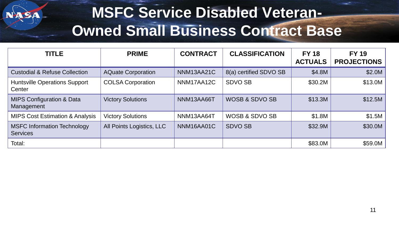

#### **MSFC Service Disabled Veteran-Owned Small Business Contract Base**

| <b>TITLE</b>                                          | <b>PRIME</b>              | <b>CONTRACT</b> | <b>CLASSIFICATION</b>     | <b>FY 18</b><br><b>ACTUALS</b> | <b>FY 19</b><br><b>PROJECTIONS</b> |
|-------------------------------------------------------|---------------------------|-----------------|---------------------------|--------------------------------|------------------------------------|
| <b>Custodial &amp; Refuse Collection</b>              | <b>AQuate Corporation</b> | NNM13AA21C      | 8(a) certified SDVO SB    | \$4.8M                         | \$2.0M                             |
| <b>Huntsville Operations Support</b><br>Center        | <b>COLSA Corporation</b>  | NNM17AA12C      | <b>SDVO SB</b>            | \$30.2M                        | \$13.0M                            |
| <b>MIPS Configuration &amp; Data</b><br>Management    | <b>Victory Solutions</b>  | NNM13AA66T      | <b>WOSB &amp; SDVO SB</b> | \$13.3M                        | \$12.5M                            |
| <b>MIPS Cost Estimation &amp; Analysis</b>            | <b>Victory Solutions</b>  | NNM13AA64T      | <b>WOSB &amp; SDVO SB</b> | \$1.8M                         | \$1.5M                             |
| <b>MSFC Information Technology</b><br><b>Services</b> | All Points Logistics, LLC | NNM16AA01C      | <b>SDVO SB</b>            | \$32.9M                        | \$30.0M                            |
| Total:                                                |                           |                 |                           | \$83.0M                        | \$59.0M                            |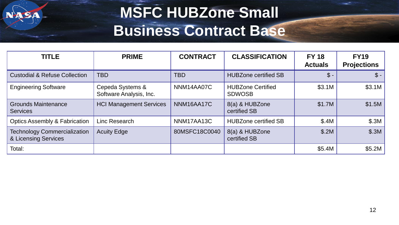#### **MSFC HUBZone Small Business Contract Base**

| <b>TITLE</b>                                                | <b>PRIME</b>                                | <b>CONTRACT</b> | <b>CLASSIFICATION</b>                     | <b>FY 18</b><br><b>Actuals</b> | <b>FY19</b><br><b>Projections</b> |
|-------------------------------------------------------------|---------------------------------------------|-----------------|-------------------------------------------|--------------------------------|-----------------------------------|
| <b>Custodial &amp; Refuse Collection</b>                    | <b>TBD</b>                                  | <b>TBD</b>      | <b>HUBZone certified SB</b>               | $\mathcal{S}$ -                | $\mathcal{S}$ -                   |
| <b>Engineering Software</b>                                 | Cepeda Systems &<br>Software Analysis, Inc. | NNM14AA07C      | <b>HUBZone Certified</b><br><b>SDWOSB</b> | \$3.1M                         | \$3.1M                            |
| <b>Grounds Maintenance</b><br><b>Services</b>               | <b>HCI Management Services</b>              | NNM16AA17C      | 8(a) & HUBZone<br>certified SB            | \$1.7M                         | \$1.5M                            |
| <b>Optics Assembly &amp; Fabrication</b>                    | Linc Research                               | NNM17AA13C      | <b>HUBZone certified SB</b>               | \$.4M                          | \$.3M                             |
| <b>Technology Commercialization</b><br>& Licensing Services | <b>Acuity Edge</b>                          | 80MSFC18C0040   | 8(a) & HUBZone<br>certified SB            | \$.2M                          | \$.3M                             |
| Total:                                                      |                                             |                 |                                           | \$5.4M                         | \$5.2M                            |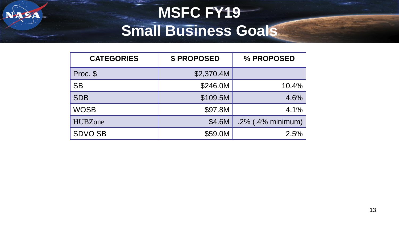#### **MSFC FY19 Small Business Goals**

| <b>CATEGORIES</b> | <b>\$PROPOSED</b> | % PROPOSED           |
|-------------------|-------------------|----------------------|
| Proc. \$          | \$2,370.4M        |                      |
| <b>SB</b>         | \$246.0M          | 10.4%                |
| <b>SDB</b>        | \$109.5M          | 4.6%                 |
| <b>WOSB</b>       | \$97.8M           | 4.1%                 |
| <b>HUBZone</b>    | \$4.6M            | $.2\%$ (.4% minimum) |
| <b>SDVO SB</b>    | \$59.0M           | 2.5%                 |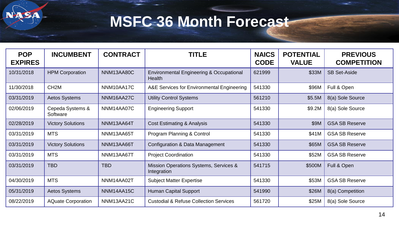SA

#### **MSFC 36 Month Forecast**

| <b>POP</b><br><b>EXPIRES</b> | <b>INCUMBENT</b>             | <b>CONTRACT</b> | TITLE                                                         | <b>NAICS</b><br><b>CODE</b> | <b>POTENTIAL</b><br><b>VALUE</b> | <b>PREVIOUS</b><br><b>COMPETITION</b> |
|------------------------------|------------------------------|-----------------|---------------------------------------------------------------|-----------------------------|----------------------------------|---------------------------------------|
| 10/31/2018                   | <b>HPM Corporation</b>       | NNM13AA80C      | <b>Environmental Engineering &amp; Occupational</b><br>Health | 621999                      | \$33M                            | <b>SB Set-Aside</b>                   |
| 11/30/2018                   | CH <sub>2</sub> M            | NNM10AA17C      | A&E Services for Environmental Engineering                    | 541330                      | \$96M                            | Full & Open                           |
| 03/31/2019                   | <b>Aetos Systems</b>         | NNM16AA27C      | <b>Utility Control Systems</b>                                | 561210                      | \$5.5M                           | 8(a) Sole Source                      |
| 02/06/2019                   | Cepeda Systems &<br>Software | NNM14AA07C      | <b>Engineering Support</b>                                    | 541330                      | \$9.2M                           | 8(a) Sole Source                      |
| 02/28/2019                   | <b>Victory Solutions</b>     | NNM13AA64T      | <b>Cost Estimating &amp; Analysis</b>                         | 541330                      | \$9M                             | <b>GSA SB Reserve</b>                 |
| 03/31/2019                   | <b>MTS</b>                   | NNM13AA65T      | Program Planning & Control                                    | 541330                      | \$41M                            | <b>GSA SB Reserve</b>                 |
| 03/31/2019                   | <b>Victory Solutions</b>     | NNM13AA66T      | Configuration & Data Management                               | 541330                      | \$65M                            | <b>GSA SB Reserve</b>                 |
| 03/31/2019                   | <b>MTS</b>                   | NNM13AA67T      | <b>Project Coordination</b>                                   | 541330                      | \$52M                            | <b>GSA SB Reserve</b>                 |
| 03/31/2019                   | <b>TBD</b>                   | <b>TBD</b>      | Mission Operations Systems, Services &<br>Integration         | 541715                      | \$500M                           | Full & Open                           |
| 04/30/2019                   | <b>MTS</b>                   | NNM14AA02T      | <b>Subject Matter Expertise</b>                               | 541330                      | \$53M                            | <b>GSA SB Reserve</b>                 |
| 05/31/2019                   | <b>Aetos Systems</b>         | NNM14AA15C      | <b>Human Capital Support</b>                                  | 541990                      | \$26M                            | 8(a) Competition                      |
| 08/22/2019                   | <b>AQuate Corporation</b>    | NNM13AA21C      | <b>Custodial &amp; Refuse Collection Services</b>             | 561720                      | \$25M                            | 8(a) Sole Source                      |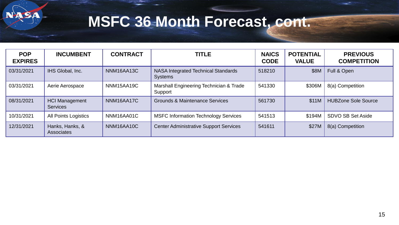

#### **MSFC 36 Month Forecast, cont.**

| <b>POP</b><br><b>EXPIRES</b> | <b>INCUMBENT</b>                         | <b>CONTRACT</b> | <b>TITLE</b>                                          | <b>NAICS</b><br><b>CODE</b> | <b>POTENTIAL</b><br><b>VALUE</b> | <b>PREVIOUS</b><br><b>COMPETITION</b> |
|------------------------------|------------------------------------------|-----------------|-------------------------------------------------------|-----------------------------|----------------------------------|---------------------------------------|
| 03/31/2021                   | IHS Global, Inc.                         | NNM16AA13C      | NASA Integrated Technical Standards<br><b>Systems</b> | 518210                      | \$8M                             | Full & Open                           |
| 03/31/2021                   | Aerie Aerospace                          | NNM15AA19C      | Marshall Engineering Technician & Trade<br>Support    | 541330                      | \$306M                           | 8(a) Competition                      |
| 08/31/2021                   | <b>HCI Management</b><br><b>Services</b> | NNM16AA17C      | <b>Grounds &amp; Maintenance Services</b>             | 561730                      | \$11M                            | <b>HUBZone Sole Source</b>            |
| 10/31/2021                   | <b>All Points Logistics</b>              | NNM16AA01C      | <b>MSFC Information Technology Services</b>           | 541513                      | \$194M                           | <b>SDVO SB Set Aside</b>              |
| 12/31/2021                   | Hanks, Hanks, &<br>Associates            | NNM16AA10C      | <b>Center Administrative Support Services</b>         | 541611                      | \$27M                            | 8(a) Competition                      |